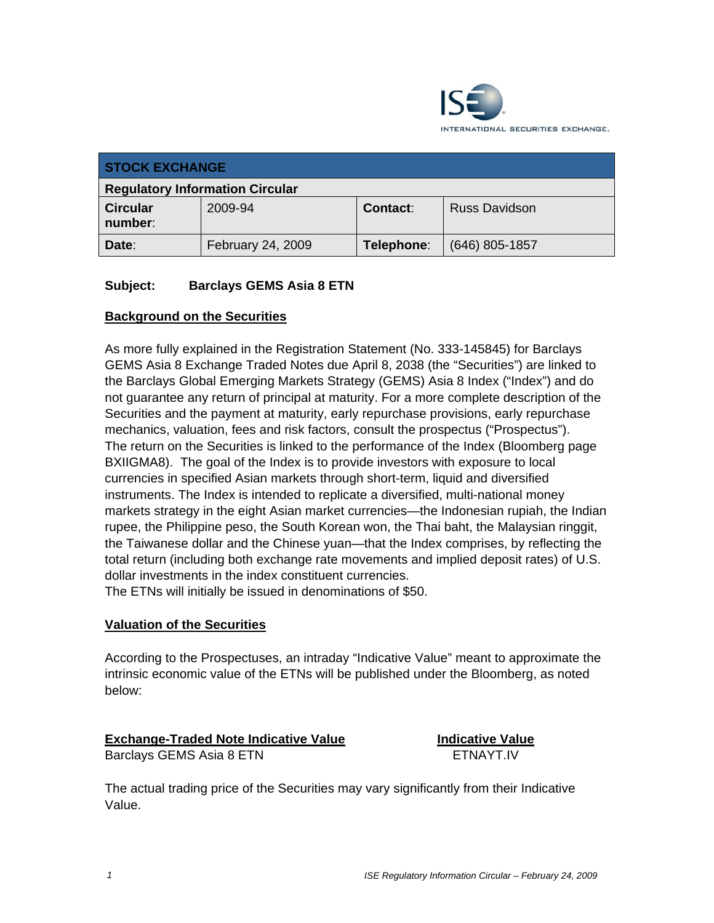

| <b>STOCK EXCHANGE</b>                  |                   |                 |                      |
|----------------------------------------|-------------------|-----------------|----------------------|
| <b>Regulatory Information Circular</b> |                   |                 |                      |
| <b>Circular</b><br>number:             | 2009-94           | <b>Contact:</b> | <b>Russ Davidson</b> |
| Date:                                  | February 24, 2009 | Telephone:      | $(646)$ 805-1857     |

### **Subject: Barclays GEMS Asia 8 ETN**

### **Background on the Securities**

As more fully explained in the Registration Statement (No. 333-145845) for Barclays GEMS Asia 8 Exchange Traded Notes due April 8, 2038 (the "Securities") are linked to the Barclays Global Emerging Markets Strategy (GEMS) Asia 8 Index ("Index") and do not guarantee any return of principal at maturity. For a more complete description of the Securities and the payment at maturity, early repurchase provisions, early repurchase mechanics, valuation, fees and risk factors, consult the prospectus ("Prospectus"). The return on the Securities is linked to the performance of the Index (Bloomberg page BXIIGMA8). The goal of the Index is to provide investors with exposure to local currencies in specified Asian markets through short-term, liquid and diversified instruments. The Index is intended to replicate a diversified, multi-national money markets strategy in the eight Asian market currencies—the Indonesian rupiah, the Indian rupee, the Philippine peso, the South Korean won, the Thai baht, the Malaysian ringgit, the Taiwanese dollar and the Chinese yuan—that the Index comprises, by reflecting the total return (including both exchange rate movements and implied deposit rates) of U.S. dollar investments in the index constituent currencies.

The ETNs will initially be issued in denominations of \$50.

### **Valuation of the Securities**

According to the Prospectuses, an intraday "Indicative Value" meant to approximate the intrinsic economic value of the ETNs will be published under the Bloomberg, as noted below:

## **Exchange-Traded Note Indicative Value**

Barclays GEMS Asia 8 ETN

**Indicative Value FTNAYT IV** 

The actual trading price of the Securities may vary significantly from their Indicative Value.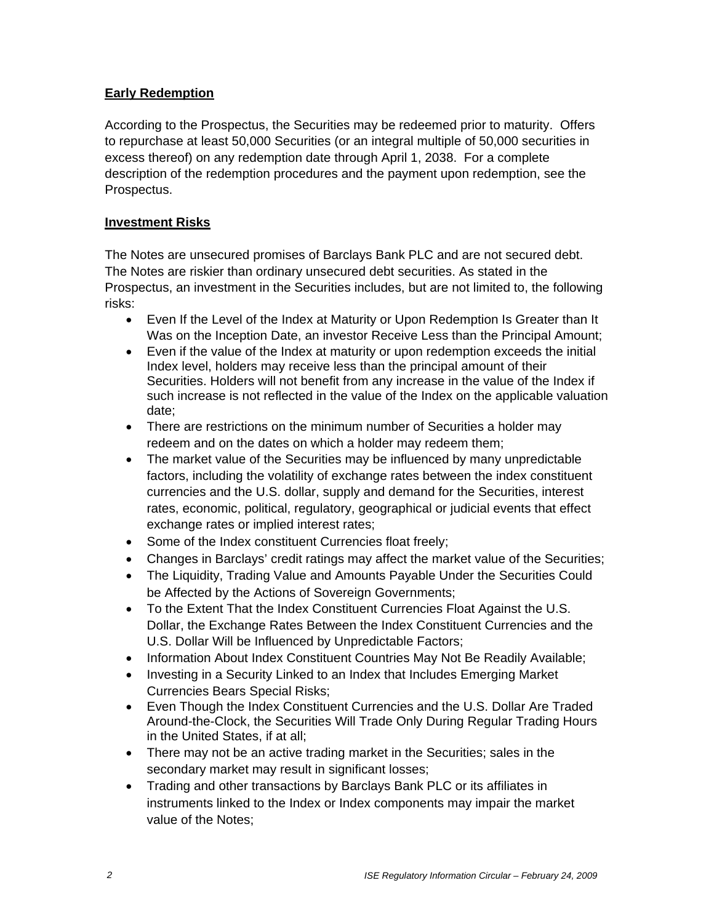## **Early Redemption**

According to the Prospectus, the Securities may be redeemed prior to maturity. Offers to repurchase at least 50,000 Securities (or an integral multiple of 50,000 securities in excess thereof) on any redemption date through April 1, 2038. For a complete description of the redemption procedures and the payment upon redemption, see the Prospectus.

## **Investment Risks**

The Notes are unsecured promises of Barclays Bank PLC and are not secured debt. The Notes are riskier than ordinary unsecured debt securities. As stated in the Prospectus, an investment in the Securities includes, but are not limited to, the following risks:

- Even If the Level of the Index at Maturity or Upon Redemption Is Greater than It Was on the Inception Date, an investor Receive Less than the Principal Amount;
- Even if the value of the Index at maturity or upon redemption exceeds the initial Index level, holders may receive less than the principal amount of their Securities. Holders will not benefit from any increase in the value of the Index if such increase is not reflected in the value of the Index on the applicable valuation date;
- There are restrictions on the minimum number of Securities a holder may redeem and on the dates on which a holder may redeem them;
- The market value of the Securities may be influenced by many unpredictable factors, including the volatility of exchange rates between the index constituent currencies and the U.S. dollar, supply and demand for the Securities, interest rates, economic, political, regulatory, geographical or judicial events that effect exchange rates or implied interest rates;
- Some of the Index constituent Currencies float freely;
- Changes in Barclays' credit ratings may affect the market value of the Securities;
- The Liquidity, Trading Value and Amounts Payable Under the Securities Could be Affected by the Actions of Sovereign Governments;
- To the Extent That the Index Constituent Currencies Float Against the U.S. Dollar, the Exchange Rates Between the Index Constituent Currencies and the U.S. Dollar Will be Influenced by Unpredictable Factors;
- Information About Index Constituent Countries May Not Be Readily Available;
- Investing in a Security Linked to an Index that Includes Emerging Market Currencies Bears Special Risks;
- Even Though the Index Constituent Currencies and the U.S. Dollar Are Traded Around-the-Clock, the Securities Will Trade Only During Regular Trading Hours in the United States, if at all;
- There may not be an active trading market in the Securities; sales in the secondary market may result in significant losses;
- Trading and other transactions by Barclays Bank PLC or its affiliates in instruments linked to the Index or Index components may impair the market value of the Notes;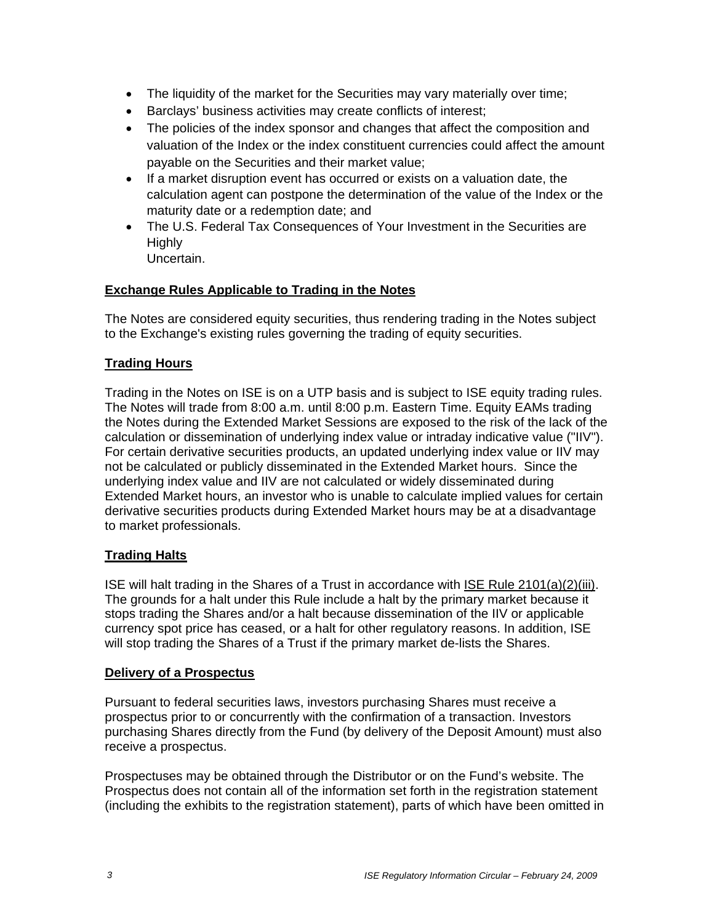- The liquidity of the market for the Securities may vary materially over time;
- Barclays' business activities may create conflicts of interest;
- The policies of the index sponsor and changes that affect the composition and valuation of the Index or the index constituent currencies could affect the amount payable on the Securities and their market value;
- If a market disruption event has occurred or exists on a valuation date, the calculation agent can postpone the determination of the value of the Index or the maturity date or a redemption date; and
- The U.S. Federal Tax Consequences of Your Investment in the Securities are **Highly** Uncertain.

### **Exchange Rules Applicable to Trading in the Notes**

The Notes are considered equity securities, thus rendering trading in the Notes subject to the Exchange's existing rules governing the trading of equity securities.

### **Trading Hours**

Trading in the Notes on ISE is on a UTP basis and is subject to ISE equity trading rules. The Notes will trade from 8:00 a.m. until 8:00 p.m. Eastern Time. Equity EAMs trading the Notes during the Extended Market Sessions are exposed to the risk of the lack of the calculation or dissemination of underlying index value or intraday indicative value ("IIV"). For certain derivative securities products, an updated underlying index value or IIV may not be calculated or publicly disseminated in the Extended Market hours. Since the underlying index value and IIV are not calculated or widely disseminated during Extended Market hours, an investor who is unable to calculate implied values for certain derivative securities products during Extended Market hours may be at a disadvantage to market professionals.

### **Trading Halts**

ISE will halt trading in the Shares of a Trust in accordance with ISE Rule 2101(a)(2)(iii). The grounds for a halt under this Rule include a halt by the primary market because it stops trading the Shares and/or a halt because dissemination of the IIV or applicable currency spot price has ceased, or a halt for other regulatory reasons. In addition, ISE will stop trading the Shares of a Trust if the primary market de-lists the Shares.

### **Delivery of a Prospectus**

Pursuant to federal securities laws, investors purchasing Shares must receive a prospectus prior to or concurrently with the confirmation of a transaction. Investors purchasing Shares directly from the Fund (by delivery of the Deposit Amount) must also receive a prospectus.

Prospectuses may be obtained through the Distributor or on the Fund's website. The Prospectus does not contain all of the information set forth in the registration statement (including the exhibits to the registration statement), parts of which have been omitted in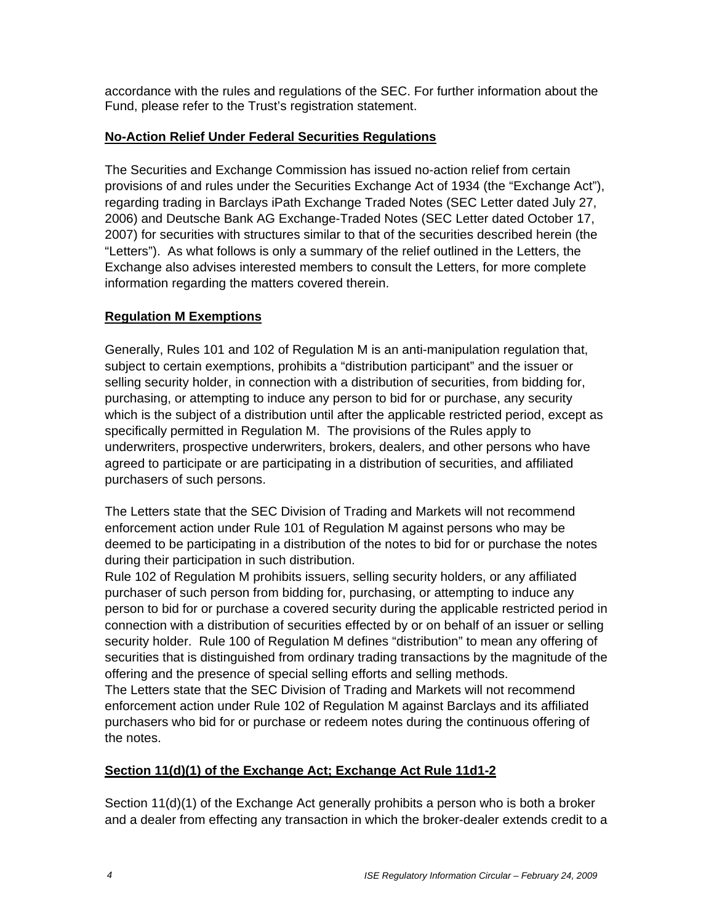accordance with the rules and regulations of the SEC. For further information about the Fund, please refer to the Trust's registration statement.

## **No-Action Relief Under Federal Securities Regulations**

The Securities and Exchange Commission has issued no-action relief from certain provisions of and rules under the Securities Exchange Act of 1934 (the "Exchange Act"), regarding trading in Barclays iPath Exchange Traded Notes (SEC Letter dated July 27, 2006) and Deutsche Bank AG Exchange-Traded Notes (SEC Letter dated October 17, 2007) for securities with structures similar to that of the securities described herein (the "Letters"). As what follows is only a summary of the relief outlined in the Letters, the Exchange also advises interested members to consult the Letters, for more complete information regarding the matters covered therein.

# **Regulation M Exemptions**

Generally, Rules 101 and 102 of Regulation M is an anti-manipulation regulation that, subject to certain exemptions, prohibits a "distribution participant" and the issuer or selling security holder, in connection with a distribution of securities, from bidding for, purchasing, or attempting to induce any person to bid for or purchase, any security which is the subject of a distribution until after the applicable restricted period, except as specifically permitted in Regulation M. The provisions of the Rules apply to underwriters, prospective underwriters, brokers, dealers, and other persons who have agreed to participate or are participating in a distribution of securities, and affiliated purchasers of such persons.

The Letters state that the SEC Division of Trading and Markets will not recommend enforcement action under Rule 101 of Regulation M against persons who may be deemed to be participating in a distribution of the notes to bid for or purchase the notes during their participation in such distribution.

Rule 102 of Regulation M prohibits issuers, selling security holders, or any affiliated purchaser of such person from bidding for, purchasing, or attempting to induce any person to bid for or purchase a covered security during the applicable restricted period in connection with a distribution of securities effected by or on behalf of an issuer or selling security holder. Rule 100 of Regulation M defines "distribution" to mean any offering of securities that is distinguished from ordinary trading transactions by the magnitude of the offering and the presence of special selling efforts and selling methods.

The Letters state that the SEC Division of Trading and Markets will not recommend enforcement action under Rule 102 of Regulation M against Barclays and its affiliated purchasers who bid for or purchase or redeem notes during the continuous offering of the notes.

## **Section 11(d)(1) of the Exchange Act; Exchange Act Rule 11d1-2**

Section 11(d)(1) of the Exchange Act generally prohibits a person who is both a broker and a dealer from effecting any transaction in which the broker-dealer extends credit to a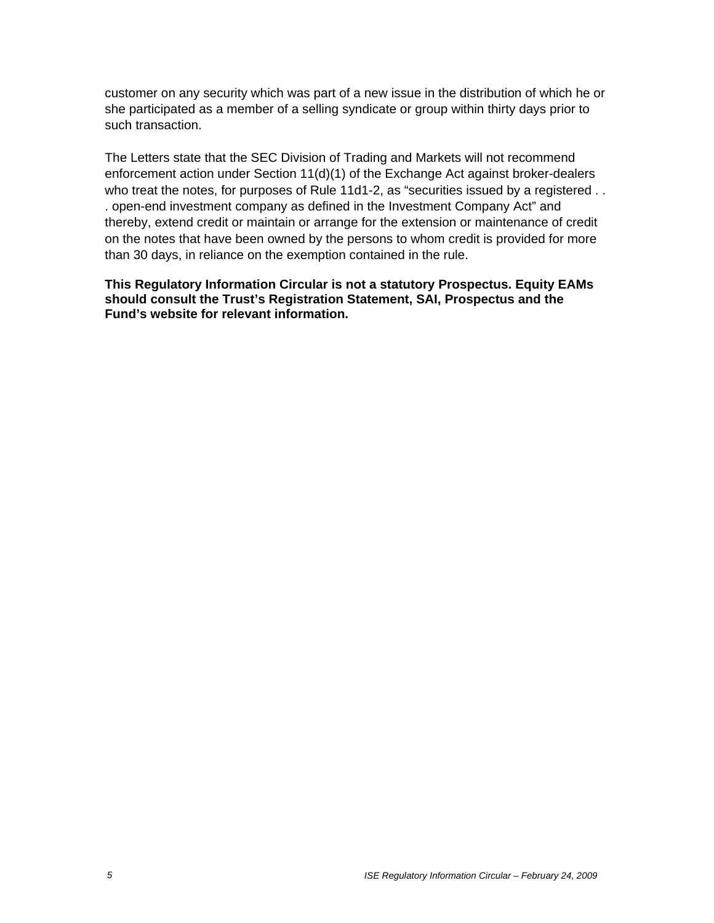customer on any security which was part of a new issue in the distribution of which he or she participated as a member of a selling syndicate or group within thirty days prior to such transaction.

The Letters state that the SEC Division of Trading and Markets will not recommend enforcement action under Section 11(d)(1) of the Exchange Act against broker-dealers who treat the notes, for purposes of Rule 11d1-2, as "securities issued by a registered . . . open-end investment company as defined in the Investment Company Act" and thereby, extend credit or maintain or arrange for the extension or maintenance of credit on the notes that have been owned by the persons to whom credit is provided for more than 30 days, in reliance on the exemption contained in the rule.

**This Regulatory Information Circular is not a statutory Prospectus. Equity EAMs should consult the Trust's Registration Statement, SAI, Prospectus and the Fund's website for relevant information.**